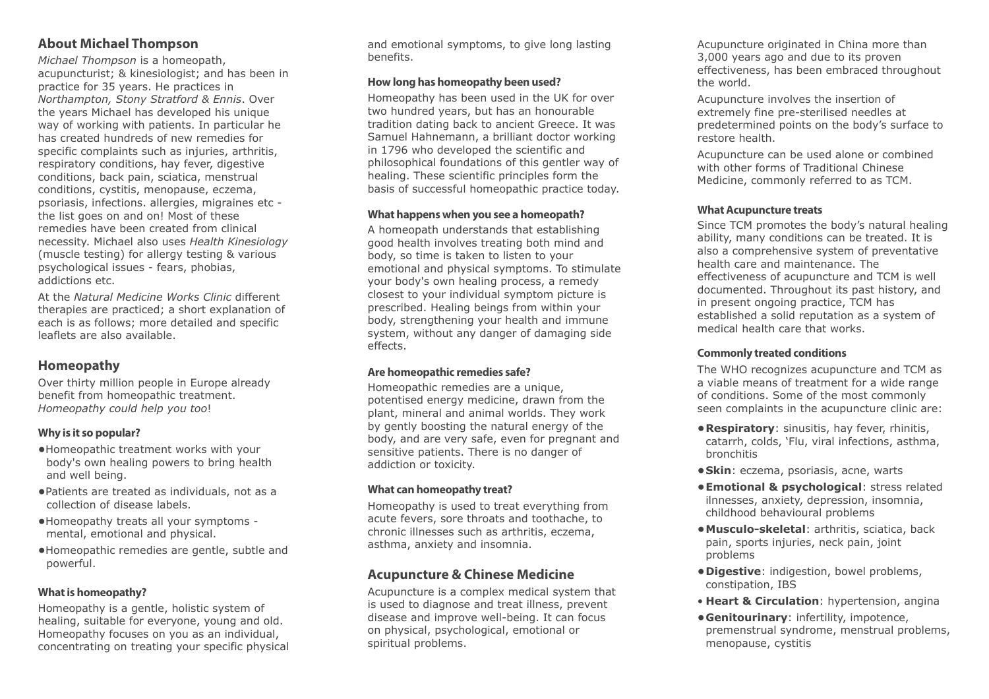# **About Michael Thompson**

*Michael Thompson* is a homeopath, acupuncturist; & kinesiologist; and has been in practice for 35 years. He practices in *Northampton, Stony Stratford & Ennis*. Over the years Michael has developed his unique way of working with patients. In particular he has created hundreds of new remedies for specific complaints such as injuries, arthritis, respiratory conditions, hay fever, digestive conditions, back pain, sciatica, menstrual conditions, cystitis, menopause, eczema, psoriasis, infections. allergies, migraines etc the list goes on and on! Most of these remedies have been created from clinical necessity. Michael also uses *Health Kinesiology* (muscle testing) for allergy testing & various psychological issues - fears, phobias, addictions etc.

At the *Natural Medicine Works Clinic* different therapies are practiced; a short explanation of each is as follows; more detailed and specific leaflets are also available.

# **Homeopathy**

Over thirty million people in Europe already benefit from homeopathic treatment. *Homeopathy could help you too*!

# **Why is it so popular?**

- **•**Homeopathic treatment works with your body's own healing powers to bring health and well being.
- **•**Patients are treated as individuals, not as a collection of disease labels.
- **•**Homeopathy treats all your symptoms mental, emotional and physical.
- **•**Homeopathic remedies are gentle, subtle and powerful.

# **What is homeopathy?**

Homeopathy is a gentle, holistic system of healing, suitable for everyone, young and old. Homeopathy focuses on you as an individual, concentrating on treating your specific physical and emotional symptoms, to give long lasting benefits.

# **How long has homeopathy been used?**

Homeopathy has been used in the UK for over two hundred years, but has an honourable tradition dating back to ancient Greece. It was Samuel Hahnemann, a brilliant doctor working in 1796 who developed the scientific and philosophical foundations of this gentler way of healing. These scientific principles form the basis of successful homeopathic practice today.

#### **What happens when you see a homeopath?**

A homeopath understands that establishing good health involves treating both mind and body, so time is taken to listen to your emotional and physical symptoms. To stimulate your body's own healing process, a remedy closest to your individual symptom picture is prescribed. Healing beings from within your body, strengthening your health and immune system, without any danger of damaging side effects.

# **Are homeopathic remedies safe?**

Homeopathic remedies are a unique, potentised energy medicine, drawn from the plant, mineral and animal worlds. They work by gently boosting the natural energy of the body, and are very safe, even for pregnant and sensitive patients. There is no danger of addiction or toxicity.

# **What can homeopathy treat?**

Homeopathy is used to treat everything from acute fevers, sore throats and toothache, to chronic illnesses such as arthritis, eczema, asthma, anxiety and insomnia.

# **Acupuncture & Chinese Medicine**

Acupuncture is a complex medical system that is used to diagnose and treat illness, prevent disease and improve well-being. It can focus on physical, psychological, emotional or spiritual problems.

Acupuncture originated in China more than 3,000 years ago and due to its proven effectiveness, has been embraced throughout the world.

Acupuncture involves the insertion of extremely fine pre-sterilised needles at predetermined points on the body's surface to restore health.

Acupuncture can be used alone or combined with other forms of Traditional Chinese Medicine, commonly referred to as TCM.

#### **What Acupuncture treats**

Since TCM promotes the body's natural healing ability, many conditions can be treated. It is also a comprehensive system of preventative health care and maintenance. The effectiveness of acupuncture and TCM is well documented. Throughout its past history, and in present ongoing practice, TCM has established a solid reputation as a system of medical health care that works.

## **Commonly treated conditions**

The WHO recognizes acupuncture and TCM as a viable means of treatment for a wide range of conditions. Some of the most commonly seen complaints in the acupuncture clinic are:

- **Respiratory**: sinusitis, hay fever, rhinitis, catarrh, colds, 'Flu, viral infections, asthma, bronchitis
- **Skin**: eczema, psoriasis, acne, warts
- **Emotional & psychological**: stress related ilnnesses, anxiety, depression, insomnia, childhood behavioural problems
- **Musculo-skeletal**: arthritis, sciatica, back pain, sports injuries, neck pain, joint problems
- **Digestive**: indigestion, bowel problems, constipation, IBS
- **Heart & Circulation**: hypertension, angina
- **Genitourinary**: infertility, impotence, premenstrual syndrome, menstrual problems, menopause, cystitis